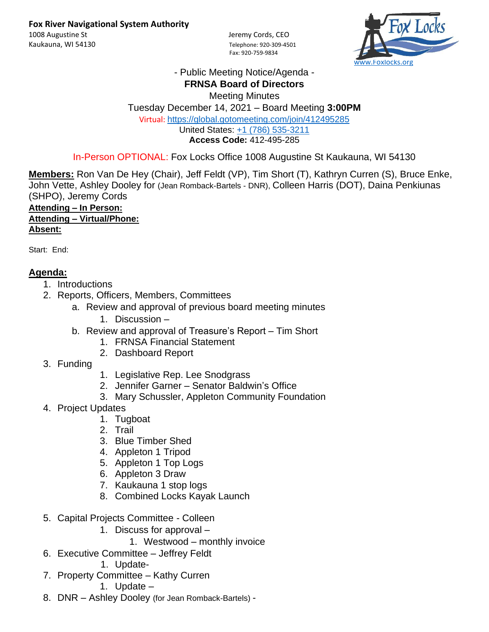Fax: 920-759-9834



## - Public Meeting Notice/Agenda - **FRNSA Board of Directors**

Meeting Minutes Tuesday December 14, 2021 – Board Meeting **3:00PM** Virtual: <https://global.gotomeeting.com/join/412495285> United States: [+1 \(786\) 535-3211](tel:+17865353211,,412495285) **Access Code:** 412-495-285

In-Person OPTIONAL: Fox Locks Office 1008 Augustine St Kaukauna, WI 54130

**Members:** Ron Van De Hey (Chair), Jeff Feldt (VP), Tim Short (T), Kathryn Curren (S), Bruce Enke, John Vette, Ashley Dooley for (Jean Romback-Bartels - DNR), Colleen Harris (DOT), Daina Penkiunas (SHPO), Jeremy Cords

**Attending – In Person: Attending – Virtual/Phone: Absent:**

Start: End:

## **Agenda:**

- 1. Introductions
- 2. Reports, Officers, Members, Committees
	- a. Review and approval of previous board meeting minutes
		- 1. Discussion –
	- b. Review and approval of Treasure's Report Tim Short
		- 1. FRNSA Financial Statement
		- 2. Dashboard Report
- 3. Funding
- 1. Legislative Rep. Lee Snodgrass
- 2. Jennifer Garner Senator Baldwin's Office
- 3. Mary Schussler, Appleton Community Foundation
- 4. Project Updates
	- 1. Tugboat
	- 2. Trail
	- 3. Blue Timber Shed
	- 4. Appleton 1 Tripod
	- 5. Appleton 1 Top Logs
	- 6. Appleton 3 Draw
	- 7. Kaukauna 1 stop logs
	- 8. Combined Locks Kayak Launch
- 5. Capital Projects Committee Colleen
	- 1. Discuss for approval
		- 1. Westwood monthly invoice
- 6. Executive Committee Jeffrey Feldt
	- 1. Update-
- 7. Property Committee Kathy Curren
	- 1. Update –
- 8. DNR Ashley Dooley (for Jean Romback-Bartels) -